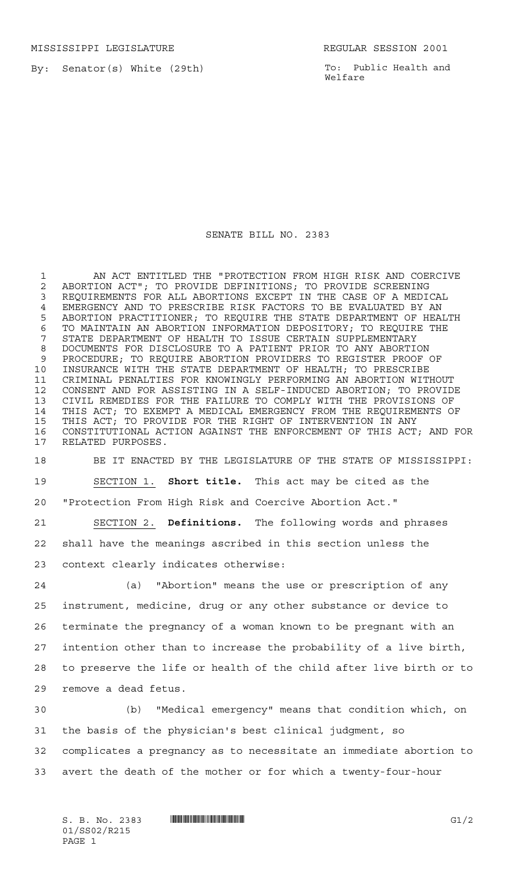MISSISSIPPI LEGISLATURE **REGULAR SESSION 2001** 

By: Senator(s) White (29th)

To: Public Health and Welfare

## SENATE BILL NO. 2383

1 AN ACT ENTITLED THE "PROTECTION FROM HIGH RISK AND COERCIVE ABORTION ACT"; TO PROVIDE DEFINITIONS; TO PROVIDE SCREENING REQUIREMENTS FOR ALL ABORTIONS EXCEPT IN THE CASE OF A MEDICAL 4 EMERGENCY AND TO PRESCRIBE RISK FACTORS TO BE EVALUATED BY AN<br>5 ABORTION PRACTITIONER; TO REQUIRE THE STATE DEPARTMENT OF HEA ABORTION PRACTITIONER; TO REQUIRE THE STATE DEPARTMENT OF HEALTH 6 TO MAINTAIN AN ABORTION INFORMATION DEPOSITORY; TO REQUIRE THE 7 STATE DEPARTMENT OF HEALTH TO ISSUE CERTAIN SUPPLEMENTARY STATE DEPARTMENT OF HEALTH TO ISSUE CERTAIN SUPPLEMENTARY DOCUMENTS FOR DISCLOSURE TO A PATIENT PRIOR TO ANY ABORTION PROCEDURE; TO REQUIRE ABORTION PROVIDERS TO REGISTER PROOF OF INSURANCE WITH THE STATE DEPARTMENT OF HEALTH; TO PRESCRIBE CRIMINAL PENALTIES FOR KNOWINGLY PERFORMING AN ABORTION WITHOUT CONSENT AND FOR ASSISTING IN A SELF-INDUCED ABORTION; TO PROVIDE CIVIL REMEDIES FOR THE FAILURE TO COMPLY WITH THE PROVISIONS OF THIS ACT; TO EXEMPT A MEDICAL EMERGENCY FROM THE REQUIREMENTS OF THIS ACT; TO PROVIDE FOR THE RIGHT OF INTERVENTION IN ANY 16 CONSTITUTIONAL ACTION AGAINST THE ENFORCEMENT OF THIS ACT; AND FOR 17 RELATED PURPOSES. RELATED PURPOSES.

 BE IT ENACTED BY THE LEGISLATURE OF THE STATE OF MISSISSIPPI: SECTION 1. **Short title.** This act may be cited as the "Protection From High Risk and Coercive Abortion Act." SECTION 2. **Definitions.** The following words and phrases

 shall have the meanings ascribed in this section unless the context clearly indicates otherwise:

 (a) "Abortion" means the use or prescription of any instrument, medicine, drug or any other substance or device to terminate the pregnancy of a woman known to be pregnant with an intention other than to increase the probability of a live birth, to preserve the life or health of the child after live birth or to remove a dead fetus.

 (b) "Medical emergency" means that condition which, on the basis of the physician's best clinical judgment, so complicates a pregnancy as to necessitate an immediate abortion to avert the death of the mother or for which a twenty-four-hour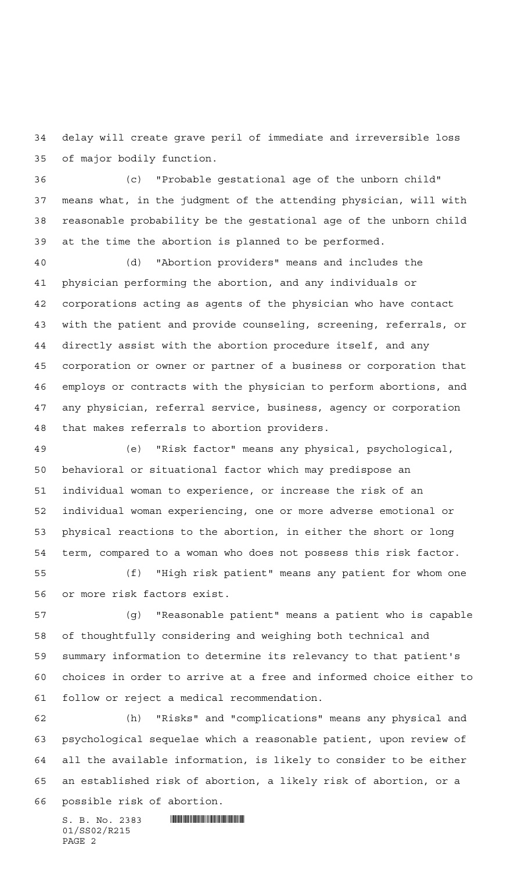delay will create grave peril of immediate and irreversible loss of major bodily function.

 (c) "Probable gestational age of the unborn child" means what, in the judgment of the attending physician, will with reasonable probability be the gestational age of the unborn child at the time the abortion is planned to be performed.

 (d) "Abortion providers" means and includes the physician performing the abortion, and any individuals or corporations acting as agents of the physician who have contact with the patient and provide counseling, screening, referrals, or directly assist with the abortion procedure itself, and any corporation or owner or partner of a business or corporation that employs or contracts with the physician to perform abortions, and any physician, referral service, business, agency or corporation that makes referrals to abortion providers.

 (e) "Risk factor" means any physical, psychological, behavioral or situational factor which may predispose an individual woman to experience, or increase the risk of an individual woman experiencing, one or more adverse emotional or physical reactions to the abortion, in either the short or long term, compared to a woman who does not possess this risk factor.

 (f) "High risk patient" means any patient for whom one or more risk factors exist.

 (g) "Reasonable patient" means a patient who is capable of thoughtfully considering and weighing both technical and summary information to determine its relevancy to that patient's choices in order to arrive at a free and informed choice either to follow or reject a medical recommendation.

 (h) "Risks" and "complications" means any physical and psychological sequelae which a reasonable patient, upon review of all the available information, is likely to consider to be either an established risk of abortion, a likely risk of abortion, or a possible risk of abortion.

S. B. No. 2383 **. SECONDER SPECIFICAL EXAMPLE A** 01/SS02/R215 PAGE 2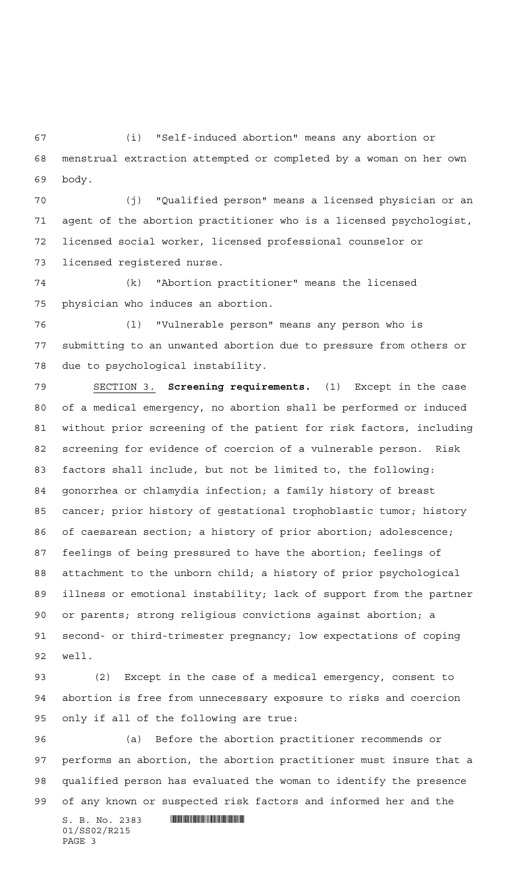(i) "Self-induced abortion" means any abortion or menstrual extraction attempted or completed by a woman on her own body.

 (j) "Qualified person" means a licensed physician or an agent of the abortion practitioner who is a licensed psychologist, licensed social worker, licensed professional counselor or licensed registered nurse.

 (k) "Abortion practitioner" means the licensed physician who induces an abortion.

 (l) "Vulnerable person" means any person who is submitting to an unwanted abortion due to pressure from others or due to psychological instability.

 SECTION 3. **Screening requirements.** (1) Except in the case of a medical emergency, no abortion shall be performed or induced without prior screening of the patient for risk factors, including screening for evidence of coercion of a vulnerable person. Risk factors shall include, but not be limited to, the following: gonorrhea or chlamydia infection; a family history of breast cancer; prior history of gestational trophoblastic tumor; history of caesarean section; a history of prior abortion; adolescence; feelings of being pressured to have the abortion; feelings of attachment to the unborn child; a history of prior psychological illness or emotional instability; lack of support from the partner or parents; strong religious convictions against abortion; a second- or third-trimester pregnancy; low expectations of coping well.

 (2) Except in the case of a medical emergency, consent to abortion is free from unnecessary exposure to risks and coercion only if all of the following are true:

S. B. No. 2383 **. SECONDER SECONDER SECONDER SECONDER SECONDER SECONDER SECOND SECOND SECOND SECOND SECOND SECOND SECOND SECOND SECOND SECOND SECOND SECOND SECOND SECOND SECOND SECOND SECOND SECOND SECOND SECOND SECOND SEC**  (a) Before the abortion practitioner recommends or performs an abortion, the abortion practitioner must insure that a qualified person has evaluated the woman to identify the presence of any known or suspected risk factors and informed her and the

01/SS02/R215 PAGE 3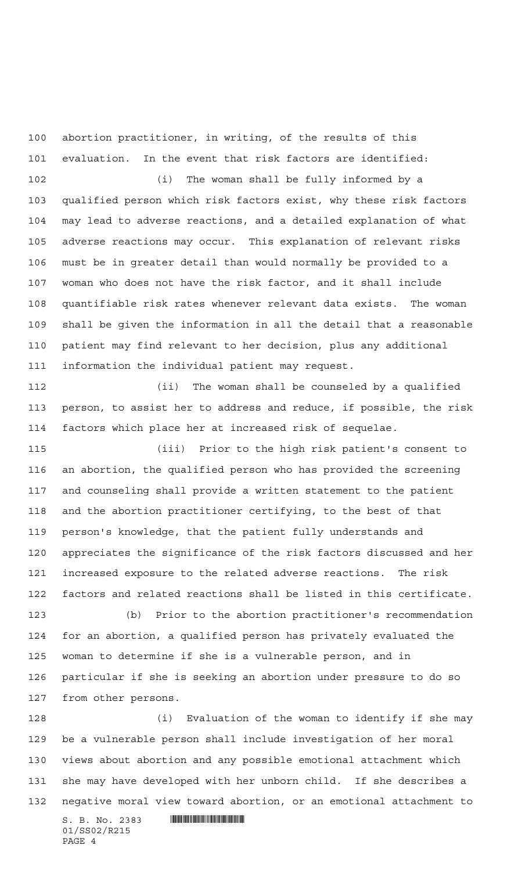abortion practitioner, in writing, of the results of this evaluation. In the event that risk factors are identified:

 (i) The woman shall be fully informed by a qualified person which risk factors exist, why these risk factors may lead to adverse reactions, and a detailed explanation of what adverse reactions may occur. This explanation of relevant risks must be in greater detail than would normally be provided to a woman who does not have the risk factor, and it shall include quantifiable risk rates whenever relevant data exists. The woman shall be given the information in all the detail that a reasonable patient may find relevant to her decision, plus any additional information the individual patient may request.

 (ii) The woman shall be counseled by a qualified person, to assist her to address and reduce, if possible, the risk factors which place her at increased risk of sequelae.

 (iii) Prior to the high risk patient's consent to an abortion, the qualified person who has provided the screening and counseling shall provide a written statement to the patient and the abortion practitioner certifying, to the best of that person's knowledge, that the patient fully understands and appreciates the significance of the risk factors discussed and her increased exposure to the related adverse reactions. The risk factors and related reactions shall be listed in this certificate.

 (b) Prior to the abortion practitioner's recommendation for an abortion, a qualified person has privately evaluated the woman to determine if she is a vulnerable person, and in particular if she is seeking an abortion under pressure to do so from other persons.

 (i) Evaluation of the woman to identify if she may be a vulnerable person shall include investigation of her moral views about abortion and any possible emotional attachment which she may have developed with her unborn child. If she describes a negative moral view toward abortion, or an emotional attachment to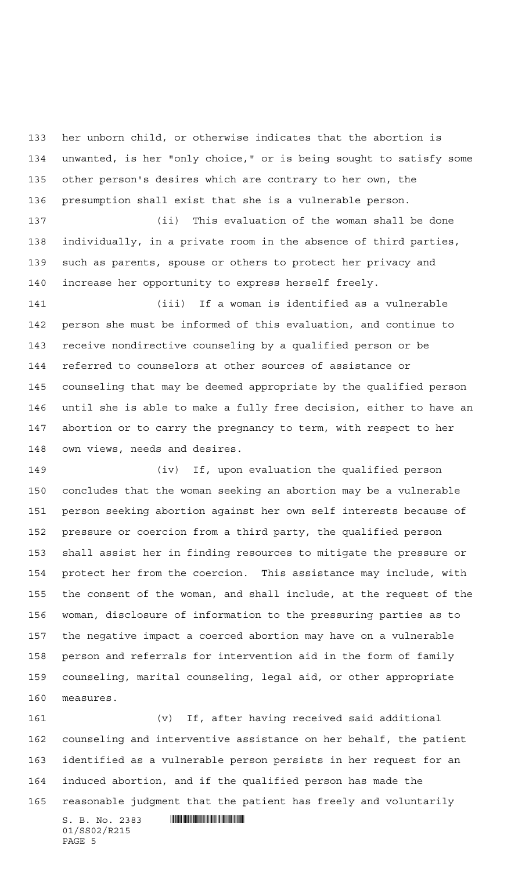her unborn child, or otherwise indicates that the abortion is unwanted, is her "only choice," or is being sought to satisfy some other person's desires which are contrary to her own, the presumption shall exist that she is a vulnerable person.

 (ii) This evaluation of the woman shall be done individually, in a private room in the absence of third parties, such as parents, spouse or others to protect her privacy and increase her opportunity to express herself freely.

 (iii) If a woman is identified as a vulnerable person she must be informed of this evaluation, and continue to receive nondirective counseling by a qualified person or be referred to counselors at other sources of assistance or counseling that may be deemed appropriate by the qualified person until she is able to make a fully free decision, either to have an abortion or to carry the pregnancy to term, with respect to her own views, needs and desires.

 (iv) If, upon evaluation the qualified person concludes that the woman seeking an abortion may be a vulnerable person seeking abortion against her own self interests because of pressure or coercion from a third party, the qualified person shall assist her in finding resources to mitigate the pressure or protect her from the coercion. This assistance may include, with the consent of the woman, and shall include, at the request of the woman, disclosure of information to the pressuring parties as to the negative impact a coerced abortion may have on a vulnerable person and referrals for intervention aid in the form of family counseling, marital counseling, legal aid, or other appropriate measures.

 (v) If, after having received said additional counseling and interventive assistance on her behalf, the patient identified as a vulnerable person persists in her request for an induced abortion, and if the qualified person has made the reasonable judgment that the patient has freely and voluntarily

 $S. B. No. 2383$  . The set of  $\mathbb{R}$  of  $S. R$ 01/SS02/R215 PAGE 5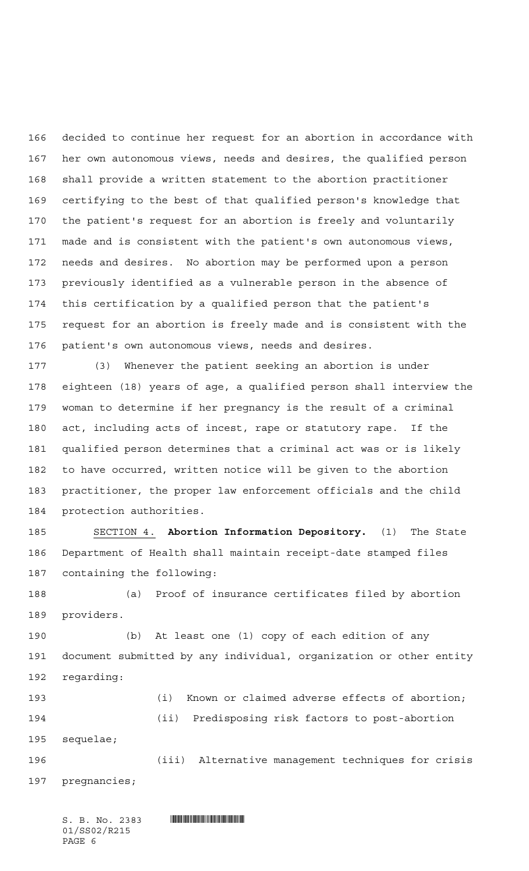decided to continue her request for an abortion in accordance with her own autonomous views, needs and desires, the qualified person shall provide a written statement to the abortion practitioner certifying to the best of that qualified person's knowledge that the patient's request for an abortion is freely and voluntarily made and is consistent with the patient's own autonomous views, needs and desires. No abortion may be performed upon a person previously identified as a vulnerable person in the absence of this certification by a qualified person that the patient's request for an abortion is freely made and is consistent with the patient's own autonomous views, needs and desires.

 (3) Whenever the patient seeking an abortion is under eighteen (18) years of age, a qualified person shall interview the woman to determine if her pregnancy is the result of a criminal act, including acts of incest, rape or statutory rape. If the qualified person determines that a criminal act was or is likely to have occurred, written notice will be given to the abortion practitioner, the proper law enforcement officials and the child protection authorities.

 SECTION 4. **Abortion Information Depository.** (1) The State Department of Health shall maintain receipt-date stamped files containing the following:

 (a) Proof of insurance certificates filed by abortion providers.

 (b) At least one (1) copy of each edition of any document submitted by any individual, organization or other entity regarding:

 (i) Known or claimed adverse effects of abortion; (ii) Predisposing risk factors to post-abortion sequelae;

 (iii) Alternative management techniques for crisis pregnancies;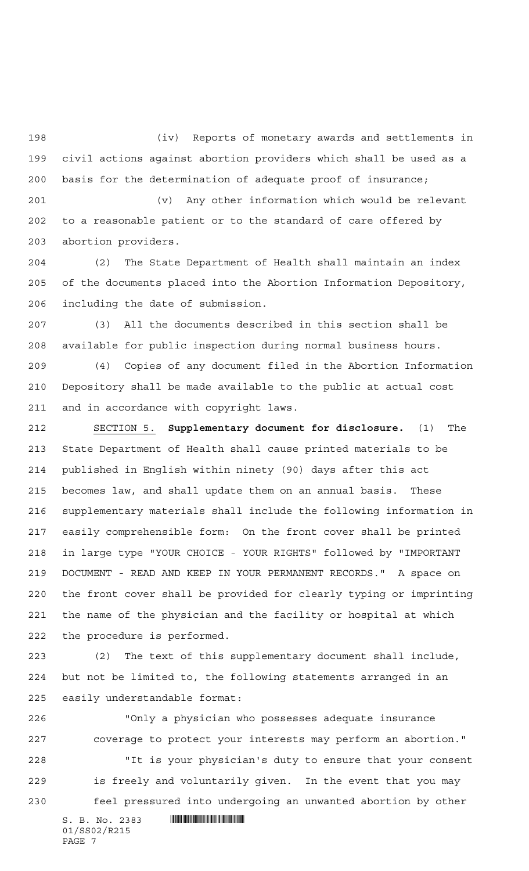(iv) Reports of monetary awards and settlements in civil actions against abortion providers which shall be used as a basis for the determination of adequate proof of insurance;

 (v) Any other information which would be relevant to a reasonable patient or to the standard of care offered by abortion providers.

 (2) The State Department of Health shall maintain an index of the documents placed into the Abortion Information Depository, including the date of submission.

 (3) All the documents described in this section shall be available for public inspection during normal business hours.

 (4) Copies of any document filed in the Abortion Information Depository shall be made available to the public at actual cost and in accordance with copyright laws.

 SECTION 5. **Supplementary document for disclosure.** (1) The State Department of Health shall cause printed materials to be published in English within ninety (90) days after this act becomes law, and shall update them on an annual basis. These supplementary materials shall include the following information in easily comprehensible form: On the front cover shall be printed in large type "YOUR CHOICE - YOUR RIGHTS" followed by "IMPORTANT DOCUMENT - READ AND KEEP IN YOUR PERMANENT RECORDS." A space on the front cover shall be provided for clearly typing or imprinting the name of the physician and the facility or hospital at which the procedure is performed.

 (2) The text of this supplementary document shall include, but not be limited to, the following statements arranged in an easily understandable format:

S. B. No. 2383 **. S. 2381 . S. 2381 . S. 2381 . S. 2382**  "Only a physician who possesses adequate insurance coverage to protect your interests may perform an abortion." "It is your physician's duty to ensure that your consent is freely and voluntarily given. In the event that you may feel pressured into undergoing an unwanted abortion by other

01/SS02/R215 PAGE 7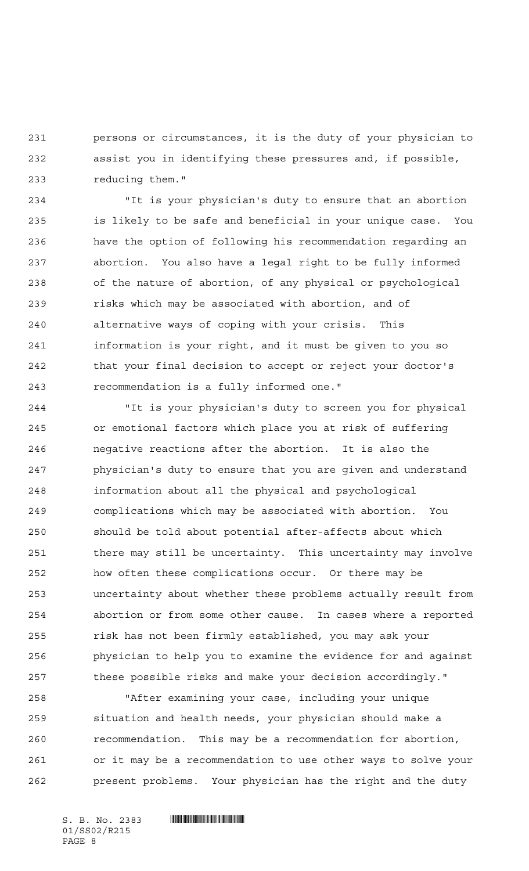persons or circumstances, it is the duty of your physician to assist you in identifying these pressures and, if possible, reducing them."

 "It is your physician's duty to ensure that an abortion is likely to be safe and beneficial in your unique case. You have the option of following his recommendation regarding an abortion. You also have a legal right to be fully informed of the nature of abortion, of any physical or psychological risks which may be associated with abortion, and of alternative ways of coping with your crisis. This information is your right, and it must be given to you so that your final decision to accept or reject your doctor's recommendation is a fully informed one."

 "It is your physician's duty to screen you for physical or emotional factors which place you at risk of suffering negative reactions after the abortion. It is also the physician's duty to ensure that you are given and understand information about all the physical and psychological complications which may be associated with abortion. You should be told about potential after-affects about which 251 there may still be uncertainty. This uncertainty may involve how often these complications occur. Or there may be uncertainty about whether these problems actually result from abortion or from some other cause. In cases where a reported risk has not been firmly established, you may ask your physician to help you to examine the evidence for and against these possible risks and make your decision accordingly."

 "After examining your case, including your unique situation and health needs, your physician should make a recommendation. This may be a recommendation for abortion, or it may be a recommendation to use other ways to solve your present problems. Your physician has the right and the duty

01/SS02/R215 PAGE 8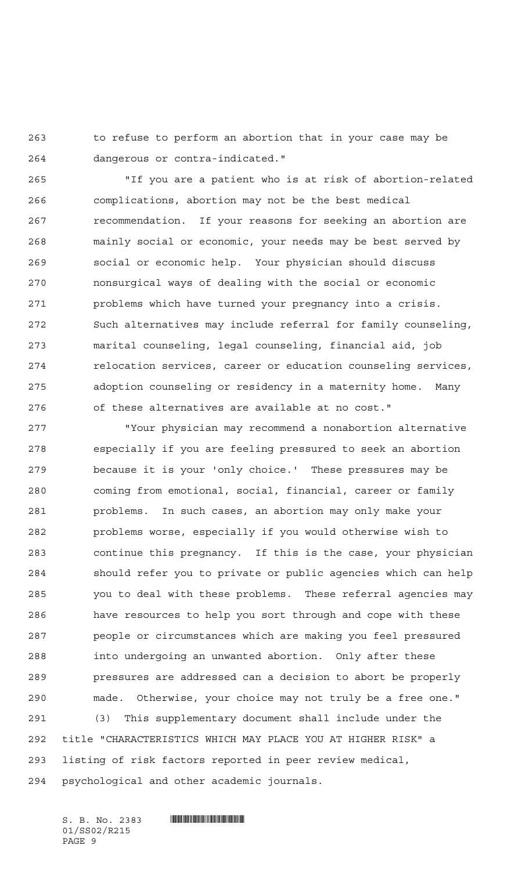to refuse to perform an abortion that in your case may be dangerous or contra-indicated."

 "If you are a patient who is at risk of abortion-related complications, abortion may not be the best medical recommendation. If your reasons for seeking an abortion are mainly social or economic, your needs may be best served by social or economic help. Your physician should discuss nonsurgical ways of dealing with the social or economic problems which have turned your pregnancy into a crisis. Such alternatives may include referral for family counseling, marital counseling, legal counseling, financial aid, job relocation services, career or education counseling services, adoption counseling or residency in a maternity home. Many of these alternatives are available at no cost."

 "Your physician may recommend a nonabortion alternative especially if you are feeling pressured to seek an abortion because it is your 'only choice.' These pressures may be coming from emotional, social, financial, career or family problems. In such cases, an abortion may only make your problems worse, especially if you would otherwise wish to continue this pregnancy. If this is the case, your physician should refer you to private or public agencies which can help you to deal with these problems. These referral agencies may have resources to help you sort through and cope with these people or circumstances which are making you feel pressured into undergoing an unwanted abortion. Only after these pressures are addressed can a decision to abort be properly made. Otherwise, your choice may not truly be a free one." (3) This supplementary document shall include under the title "CHARACTERISTICS WHICH MAY PLACE YOU AT HIGHER RISK" a listing of risk factors reported in peer review medical, psychological and other academic journals.

01/SS02/R215 PAGE 9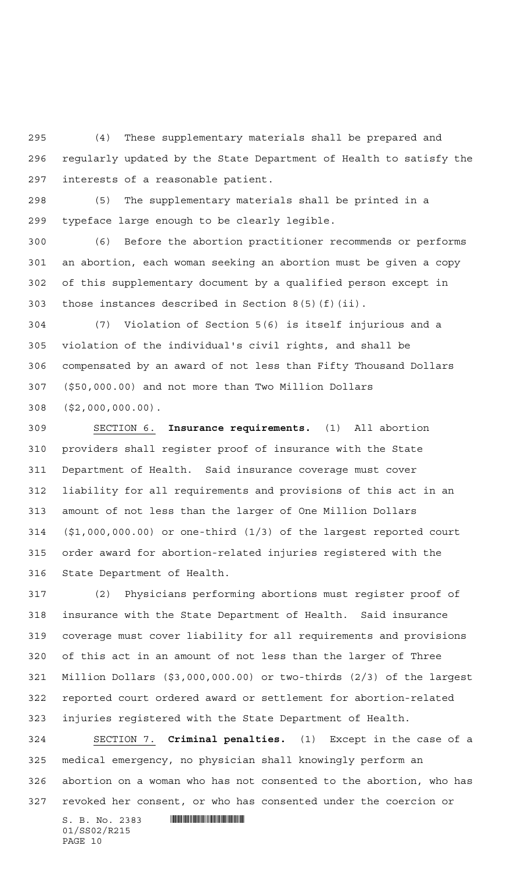(4) These supplementary materials shall be prepared and regularly updated by the State Department of Health to satisfy the interests of a reasonable patient.

 (5) The supplementary materials shall be printed in a typeface large enough to be clearly legible.

 (6) Before the abortion practitioner recommends or performs an abortion, each woman seeking an abortion must be given a copy of this supplementary document by a qualified person except in those instances described in Section 8(5)(f)(ii).

 (7) Violation of Section 5(6) is itself injurious and a violation of the individual's civil rights, and shall be compensated by an award of not less than Fifty Thousand Dollars (\$50,000.00) and not more than Two Million Dollars (\$2,000,000.00).

 SECTION 6. **Insurance requirements.** (1) All abortion providers shall register proof of insurance with the State Department of Health. Said insurance coverage must cover liability for all requirements and provisions of this act in an amount of not less than the larger of One Million Dollars (\$1,000,000.00) or one-third (1/3) of the largest reported court order award for abortion-related injuries registered with the State Department of Health.

 (2) Physicians performing abortions must register proof of insurance with the State Department of Health. Said insurance coverage must cover liability for all requirements and provisions of this act in an amount of not less than the larger of Three Million Dollars (\$3,000,000.00) or two-thirds (2/3) of the largest reported court ordered award or settlement for abortion-related injuries registered with the State Department of Health.

 SECTION 7. **Criminal penalties.** (1) Except in the case of a medical emergency, no physician shall knowingly perform an abortion on a woman who has not consented to the abortion, who has revoked her consent, or who has consented under the coercion or

 $S. B. No. 2383$  . The set of  $\mathbb{R}$  of  $S. R$ 01/SS02/R215 PAGE 10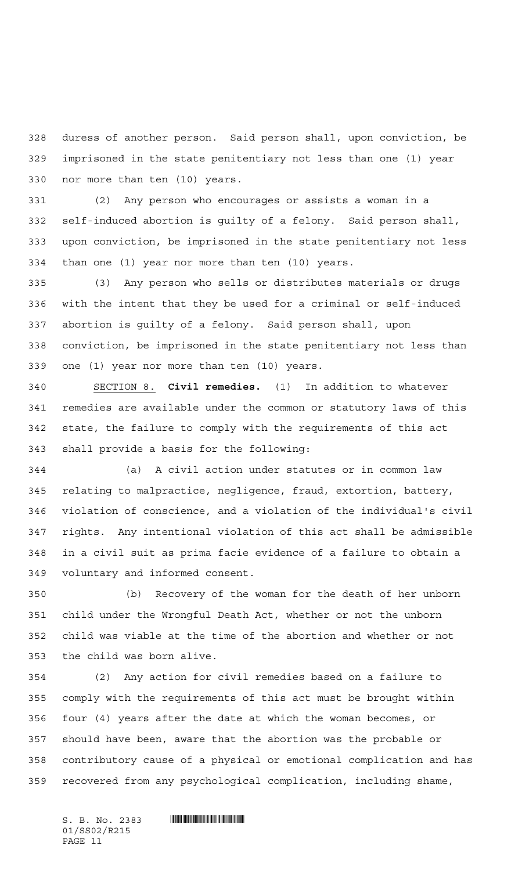duress of another person. Said person shall, upon conviction, be imprisoned in the state penitentiary not less than one (1) year nor more than ten (10) years.

 (2) Any person who encourages or assists a woman in a self-induced abortion is guilty of a felony. Said person shall, upon conviction, be imprisoned in the state penitentiary not less than one (1) year nor more than ten (10) years.

 (3) Any person who sells or distributes materials or drugs with the intent that they be used for a criminal or self-induced abortion is guilty of a felony. Said person shall, upon conviction, be imprisoned in the state penitentiary not less than one (1) year nor more than ten (10) years.

 SECTION 8. **Civil remedies.** (1) In addition to whatever remedies are available under the common or statutory laws of this state, the failure to comply with the requirements of this act shall provide a basis for the following:

 (a) A civil action under statutes or in common law relating to malpractice, negligence, fraud, extortion, battery, violation of conscience, and a violation of the individual's civil rights. Any intentional violation of this act shall be admissible in a civil suit as prima facie evidence of a failure to obtain a voluntary and informed consent.

 (b) Recovery of the woman for the death of her unborn child under the Wrongful Death Act, whether or not the unborn child was viable at the time of the abortion and whether or not the child was born alive.

 (2) Any action for civil remedies based on a failure to comply with the requirements of this act must be brought within four (4) years after the date at which the woman becomes, or should have been, aware that the abortion was the probable or contributory cause of a physical or emotional complication and has recovered from any psychological complication, including shame,

 $S. B. No. 2383$  . The set of  $\mathbb{R}$  of  $S. R$ 01/SS02/R215 PAGE 11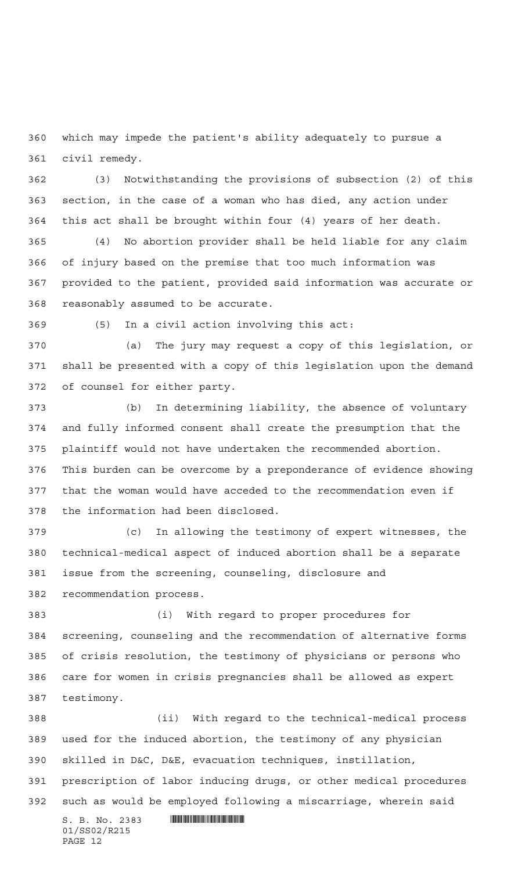which may impede the patient's ability adequately to pursue a civil remedy.

 (3) Notwithstanding the provisions of subsection (2) of this section, in the case of a woman who has died, any action under this act shall be brought within four (4) years of her death.

 (4) No abortion provider shall be held liable for any claim of injury based on the premise that too much information was provided to the patient, provided said information was accurate or reasonably assumed to be accurate.

(5) In a civil action involving this act:

 (a) The jury may request a copy of this legislation, or shall be presented with a copy of this legislation upon the demand of counsel for either party.

 (b) In determining liability, the absence of voluntary and fully informed consent shall create the presumption that the plaintiff would not have undertaken the recommended abortion. This burden can be overcome by a preponderance of evidence showing that the woman would have acceded to the recommendation even if the information had been disclosed.

 (c) In allowing the testimony of expert witnesses, the technical-medical aspect of induced abortion shall be a separate issue from the screening, counseling, disclosure and recommendation process.

 (i) With regard to proper procedures for screening, counseling and the recommendation of alternative forms of crisis resolution, the testimony of physicians or persons who care for women in crisis pregnancies shall be allowed as expert testimony.

S. B. No. 2383 **. SECONDER SECONDER SECONDER SECONDER SECONDER SECONDER SECOND SECOND SECOND SECOND SECOND SECOND SECOND SECOND SECOND SECOND SECOND SECOND SECOND SECOND SECOND SECOND SECOND SECOND SECOND SECOND SECOND SEC**  (ii) With regard to the technical-medical process used for the induced abortion, the testimony of any physician skilled in D&C, D&E, evacuation techniques, instillation, prescription of labor inducing drugs, or other medical procedures such as would be employed following a miscarriage, wherein said

01/SS02/R215 PAGE 12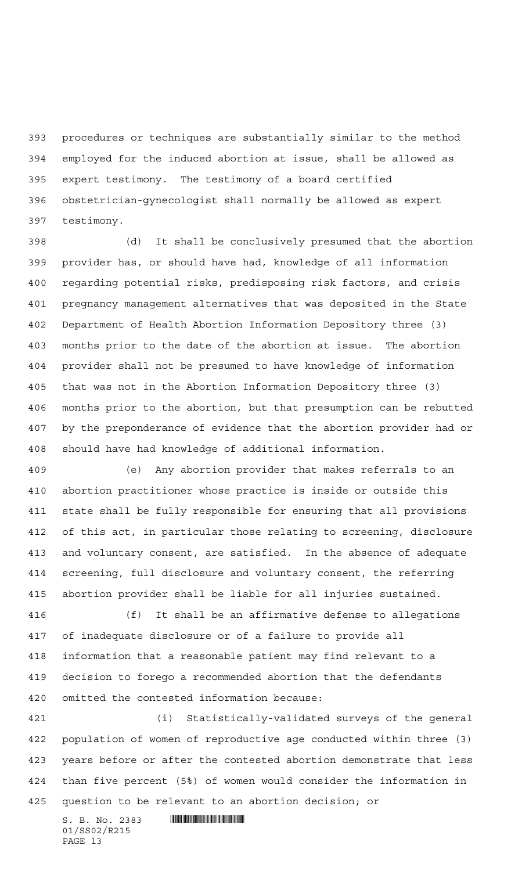procedures or techniques are substantially similar to the method employed for the induced abortion at issue, shall be allowed as expert testimony. The testimony of a board certified obstetrician-gynecologist shall normally be allowed as expert testimony.

 (d) It shall be conclusively presumed that the abortion provider has, or should have had, knowledge of all information regarding potential risks, predisposing risk factors, and crisis pregnancy management alternatives that was deposited in the State Department of Health Abortion Information Depository three (3) months prior to the date of the abortion at issue. The abortion provider shall not be presumed to have knowledge of information that was not in the Abortion Information Depository three (3) months prior to the abortion, but that presumption can be rebutted by the preponderance of evidence that the abortion provider had or should have had knowledge of additional information.

 (e) Any abortion provider that makes referrals to an abortion practitioner whose practice is inside or outside this state shall be fully responsible for ensuring that all provisions of this act, in particular those relating to screening, disclosure and voluntary consent, are satisfied. In the absence of adequate screening, full disclosure and voluntary consent, the referring abortion provider shall be liable for all injuries sustained.

 (f) It shall be an affirmative defense to allegations of inadequate disclosure or of a failure to provide all information that a reasonable patient may find relevant to a decision to forego a recommended abortion that the defendants omitted the contested information because:

 (i) Statistically-validated surveys of the general population of women of reproductive age conducted within three (3) years before or after the contested abortion demonstrate that less than five percent (5%) of women would consider the information in question to be relevant to an abortion decision; or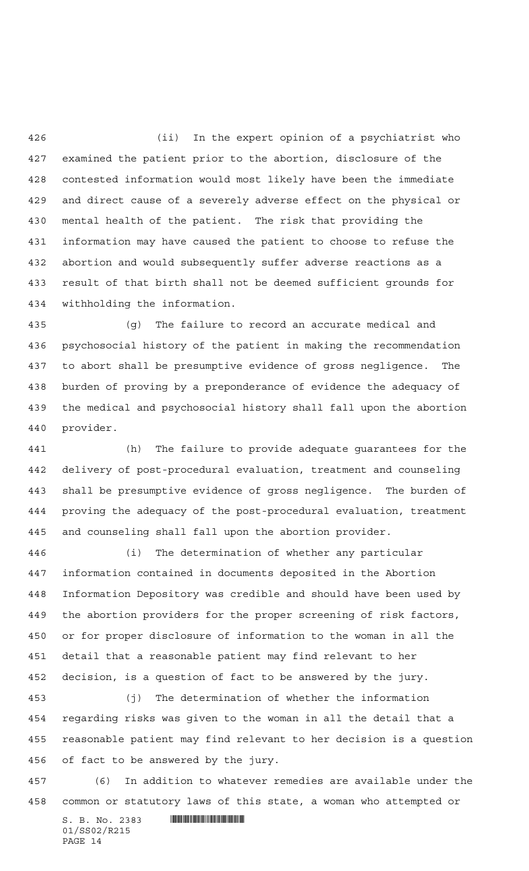(ii) In the expert opinion of a psychiatrist who examined the patient prior to the abortion, disclosure of the contested information would most likely have been the immediate and direct cause of a severely adverse effect on the physical or mental health of the patient. The risk that providing the information may have caused the patient to choose to refuse the abortion and would subsequently suffer adverse reactions as a result of that birth shall not be deemed sufficient grounds for withholding the information.

 (g) The failure to record an accurate medical and psychosocial history of the patient in making the recommendation to abort shall be presumptive evidence of gross negligence. The burden of proving by a preponderance of evidence the adequacy of the medical and psychosocial history shall fall upon the abortion provider.

 (h) The failure to provide adequate guarantees for the delivery of post-procedural evaluation, treatment and counseling shall be presumptive evidence of gross negligence. The burden of proving the adequacy of the post-procedural evaluation, treatment and counseling shall fall upon the abortion provider.

 (i) The determination of whether any particular information contained in documents deposited in the Abortion Information Depository was credible and should have been used by the abortion providers for the proper screening of risk factors, or for proper disclosure of information to the woman in all the detail that a reasonable patient may find relevant to her decision, is a question of fact to be answered by the jury.

 (j) The determination of whether the information regarding risks was given to the woman in all the detail that a reasonable patient may find relevant to her decision is a question of fact to be answered by the jury.

 (6) In addition to whatever remedies are available under the common or statutory laws of this state, a woman who attempted or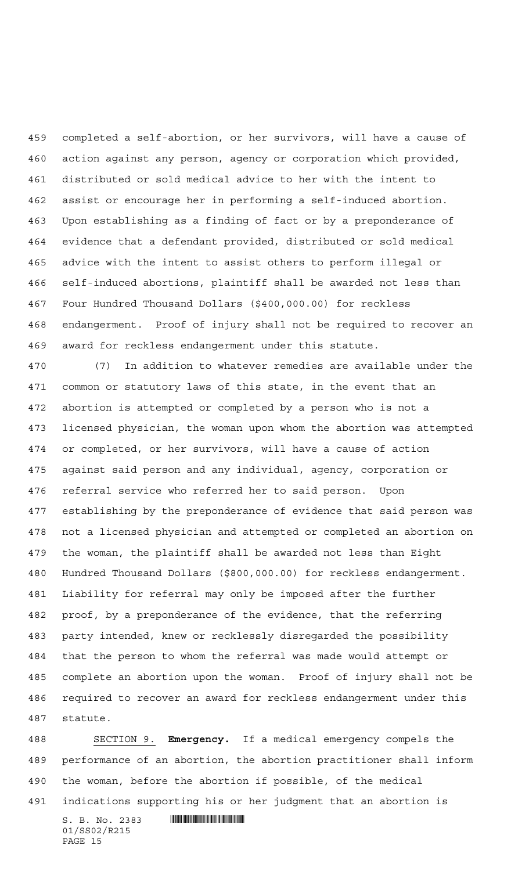completed a self-abortion, or her survivors, will have a cause of action against any person, agency or corporation which provided, distributed or sold medical advice to her with the intent to assist or encourage her in performing a self-induced abortion. Upon establishing as a finding of fact or by a preponderance of evidence that a defendant provided, distributed or sold medical advice with the intent to assist others to perform illegal or self-induced abortions, plaintiff shall be awarded not less than Four Hundred Thousand Dollars (\$400,000.00) for reckless endangerment. Proof of injury shall not be required to recover an award for reckless endangerment under this statute.

 (7) In addition to whatever remedies are available under the common or statutory laws of this state, in the event that an abortion is attempted or completed by a person who is not a licensed physician, the woman upon whom the abortion was attempted or completed, or her survivors, will have a cause of action against said person and any individual, agency, corporation or referral service who referred her to said person. Upon establishing by the preponderance of evidence that said person was not a licensed physician and attempted or completed an abortion on the woman, the plaintiff shall be awarded not less than Eight Hundred Thousand Dollars (\$800,000.00) for reckless endangerment. Liability for referral may only be imposed after the further proof, by a preponderance of the evidence, that the referring party intended, knew or recklessly disregarded the possibility that the person to whom the referral was made would attempt or complete an abortion upon the woman. Proof of injury shall not be required to recover an award for reckless endangerment under this statute.

 SECTION 9. **Emergency.** If a medical emergency compels the performance of an abortion, the abortion practitioner shall inform the woman, before the abortion if possible, of the medical indications supporting his or her judgment that an abortion is